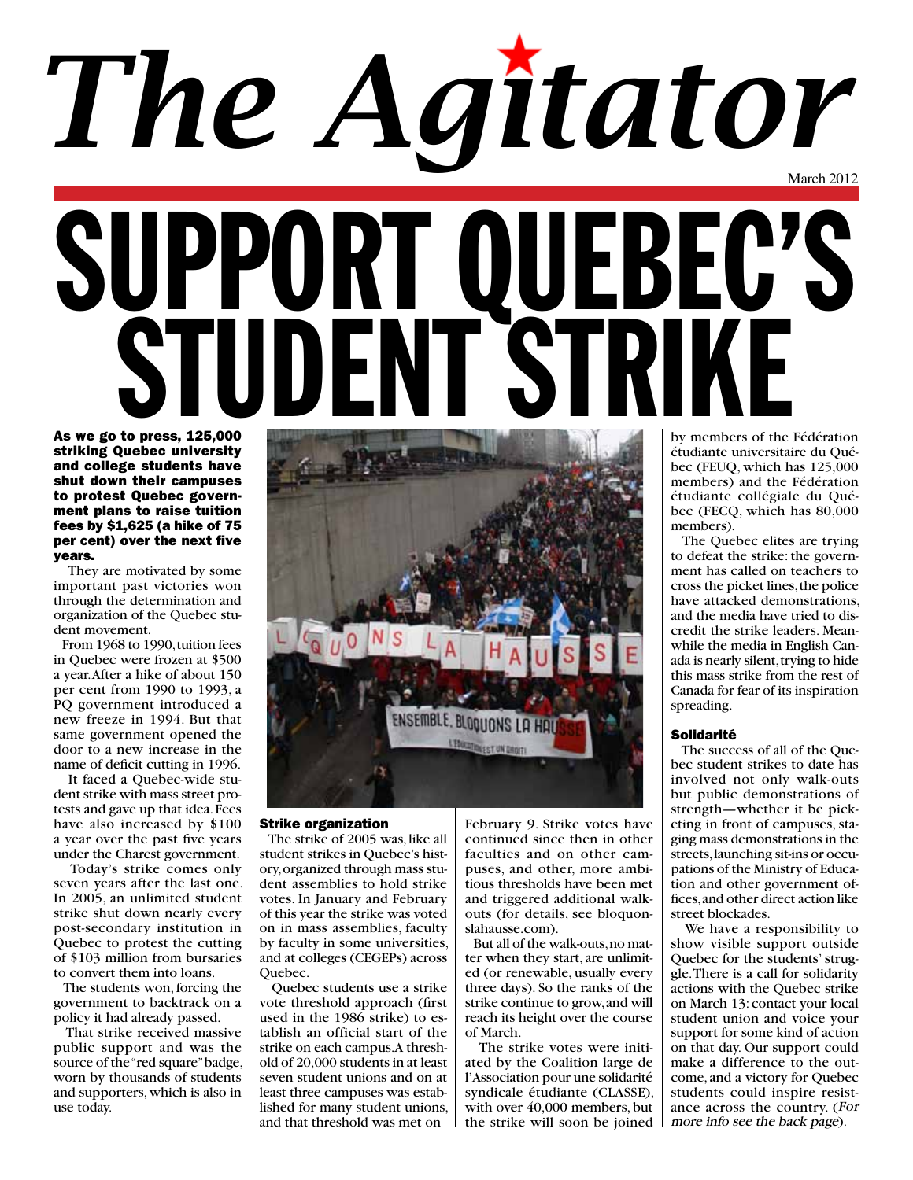## March 2012 SUPPORT QUEBEC'S STUDENT STRIKE As we go to press, 125,000 *The Agitator*

striking Quebec university and college students have shut down their campuses to protest Quebec government plans to raise tuition fees by \$1,625 (a hike of 75 per cent) over the next five years.

 They are motivated by some important past victories won through the determination and organization of the Quebec student movement.

 From 1968 to 1990, tuition fees in Quebec were frozen at \$500 a year. After a hike of about 150 per cent from 1990 to 1993, a PQ government introduced a new freeze in 1994. But that same government opened the door to a new increase in the name of deficit cutting in 1996.

 It faced a Quebec-wide student strike with mass street protests and gave up that idea. Fees have also increased by \$100 a year over the past five years under the Charest government.

 Today's strike comes only seven years after the last one. In 2005, an unlimited student strike shut down nearly every post-secondary institution in Quebec to protest the cutting of \$103 million from bursaries to convert them into loans.

 The students won, forcing the government to backtrack on a policy it had already passed.

 That strike received massive public support and was the source of the "red square" badge, worn by thousands of students and supporters, which is also in use today.



#### Strike organization

 The strike of 2005 was, like all student strikes in Quebec's history, organized through mass student assemblies to hold strike votes. In January and February of this year the strike was voted on in mass assemblies, faculty by faculty in some universities, and at colleges (CEGEPs) across Quebec.

 Quebec students use a strike vote threshold approach (first used in the 1986 strike) to establish an official start of the strike on each campus. A threshold of 20,000 students in at least seven student unions and on at least three campuses was established for many student unions, and that threshold was met on

February 9. Strike votes have continued since then in other faculties and on other campuses, and other, more ambitious thresholds have been met and triggered additional walkouts (for details, see bloquonslahausse.com).

 But all of the walk-outs, no matter when they start, are unlimited (or renewable, usually every three days). So the ranks of the strike continue to grow, and will reach its height over the course of March.

 The strike votes were initiated by the Coalition large de l'Association pour une solidarité syndicale étudiante (CLASSE), with over 40,000 members, but the strike will soon be joined

by members of the Fédération étudiante universitaire du Québec (FEUQ, which has 125,000 members) and the Fédération étudiante collégiale du Québec (FECQ, which has 80,000 members).

 The Quebec elites are trying to defeat the strike: the government has called on teachers to cross the picket lines, the police have attacked demonstrations, and the media have tried to discredit the strike leaders. Meanwhile the media in English Canada is nearly silent, trying to hide this mass strike from the rest of Canada for fear of its inspiration spreading.

#### Solidarité

 The success of all of the Quebec student strikes to date has involved not only walk-outs but public demonstrations of strength—whether it be picketing in front of campuses, staging mass demonstrations in the streets, launching sit-ins or occupations of the Ministry of Education and other government offices, and other direct action like street blockades.

 We have a responsibility to show visible support outside Quebec for the students' struggle. There is a call for solidarity actions with the Quebec strike on March 13: contact your local student union and voice your support for some kind of action on that day. Our support could make a difference to the outcome, and a victory for Quebec students could inspire resistance across the country. (For more info see the back page).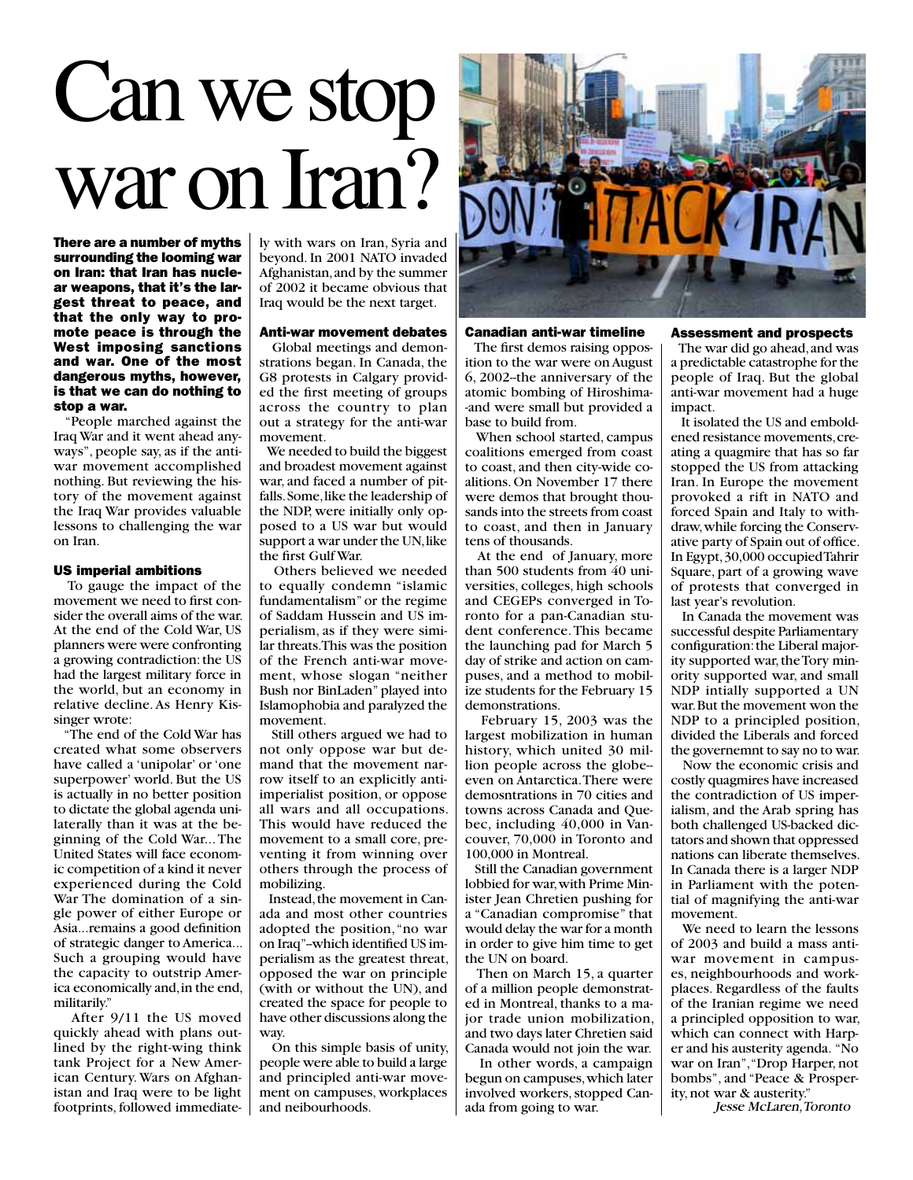## Can we stop war on Iran?

There are a number of myths surrounding the looming war on Iran: that Iran has nuclear weapons, that it's the largest threat to peace, and that the only way to promote peace is through the West imposing sanctions and war. One of the most dangerous myths, however, is that we can do nothing to stop a war.

 "People marched against the Iraq War and it went ahead anyways", people say, as if the antiwar movement accomplished nothing. But reviewing the history of the movement against the Iraq War provides valuable lessons to challenging the war on Iran.

#### US imperial ambitions

 To gauge the impact of the movement we need to first consider the overall aims of the war. At the end of the Cold War, US planners were were confronting a growing contradiction: the US had the largest military force in the world, but an economy in relative decline. As Henry Kissinger wrote:

 "The end of the Cold War has created what some observers have called a 'unipolar' or 'one superpower' world. But the US is actually in no better position to dictate the global agenda unilaterally than it was at the beginning of the Cold War... The United States will face economic competition of a kind it never experienced during the Cold War The domination of a single power of either Europe or Asia...remains a good definition of strategic danger to America... Such a grouping would have the capacity to outstrip America economically and, in the end, militarily."

 After 9/11 the US moved quickly ahead with plans outlined by the right-wing think tank Project for a New American Century. Wars on Afghanistan and Iraq were to be light footprints, followed immediately with wars on Iran, Syria and beyond. In 2001 NATO invaded Afghanistan, and by the summer of 2002 it became obvious that Iraq would be the next target.

#### Anti-war movement debates

 Global meetings and demonstrations began. In Canada, the G8 protests in Calgary provided the first meeting of groups across the country to plan out a strategy for the anti-war movement.

 We needed to build the biggest and broadest movement against war, and faced a number of pitfalls. Some, like the leadership of the NDP, were initially only opposed to a US war but would support a war under the UN, like the first Gulf War.

 Others believed we needed to equally condemn "islamic fundamentalism" or the regime of Saddam Hussein and US imperialism, as if they were similar threats. This was the position of the French anti-war movement, whose slogan "neither Bush nor BinLaden" played into Islamophobia and paralyzed the movement.

 Still others argued we had to not only oppose war but demand that the movement narrow itself to an explicitly antiimperialist position, or oppose all wars and all occupations. This would have reduced the movement to a small core, preventing it from winning over others through the process of mobilizing.

 Instead, the movement in Canada and most other countries adopted the position, "no war on Iraq"--which identified US imperialism as the greatest threat, opposed the war on principle (with or without the UN), and created the space for people to have other discussions along the way.

 On this simple basis of unity, people were able to build a large and principled anti-war movement on campuses, workplaces and neibourhoods.



#### Canadian anti-war timeline

 The first demos raising opposition to the war were on August 6, 2002--the anniversary of the atomic bombing of Hiroshima- -and were small but provided a base to build from.

 When school started, campus coalitions emerged from coast to coast, and then city-wide coalitions. On November 17 there were demos that brought thousands into the streets from coast to coast, and then in January tens of thousands.

 At the end of January, more than 500 students from 40 universities, colleges, high schools and CEGEPs converged in Toronto for a pan-Canadian student conference. This became the launching pad for March 5 day of strike and action on campuses, and a method to mobilize students for the February 15 demonstrations.

 February 15, 2003 was the largest mobilization in human history, which united 30 million people across the globe- even on Antarctica. There were demosntrations in 70 cities and towns across Canada and Quebec, including 40,000 in Vancouver, 70,000 in Toronto and 100,000 in Montreal.

 Still the Canadian government lobbied for war, with Prime Minister Jean Chretien pushing for a "Canadian compromise" that would delay the war for a month in order to give him time to get the UN on board.

 Then on March 15, a quarter of a million people demonstrated in Montreal, thanks to a major trade union mobilization, and two days later Chretien said Canada would not join the war.

 In other words, a campaign begun on campuses, which later involved workers, stopped Canada from going to war.

#### Assessment and prospects

 The war did go ahead, and was a predictable catastrophe for the people of Iraq. But the global anti-war movement had a huge impact.

 It isolated the US and emboldened resistance movements, creating a quagmire that has so far stopped the US from attacking Iran. In Europe the movement provoked a rift in NATO and forced Spain and Italy to withdraw, while forcing the Conservative party of Spain out of office. In Egypt, 30,000 occupied Tahrir Square, part of a growing wave of protests that converged in last year's revolution.

 In Canada the movement was successful despite Parliamentary configuration: the Liberal majority supported war, the Tory minority supported war, and small NDP intially supported a UN war. But the movement won the NDP to a principled position, divided the Liberals and forced the governemnt to say no to war.

 Now the economic crisis and costly quagmires have increased the contradiction of US imperialism, and the Arab spring has both challenged US-backed dictators and shown that oppressed nations can liberate themselves. In Canada there is a larger NDP in Parliament with the potential of magnifying the anti-war movement.

 We need to learn the lessons of 2003 and build a mass antiwar movement in campuses, neighbourhoods and workplaces. Regardless of the faults of the Iranian regime we need a principled opposition to war, which can connect with Harper and his austerity agenda. "No war on Iran", "Drop Harper, not bombs", and "Peace & Prosperity, not war & austerity."

Jesse McLaren, Toronto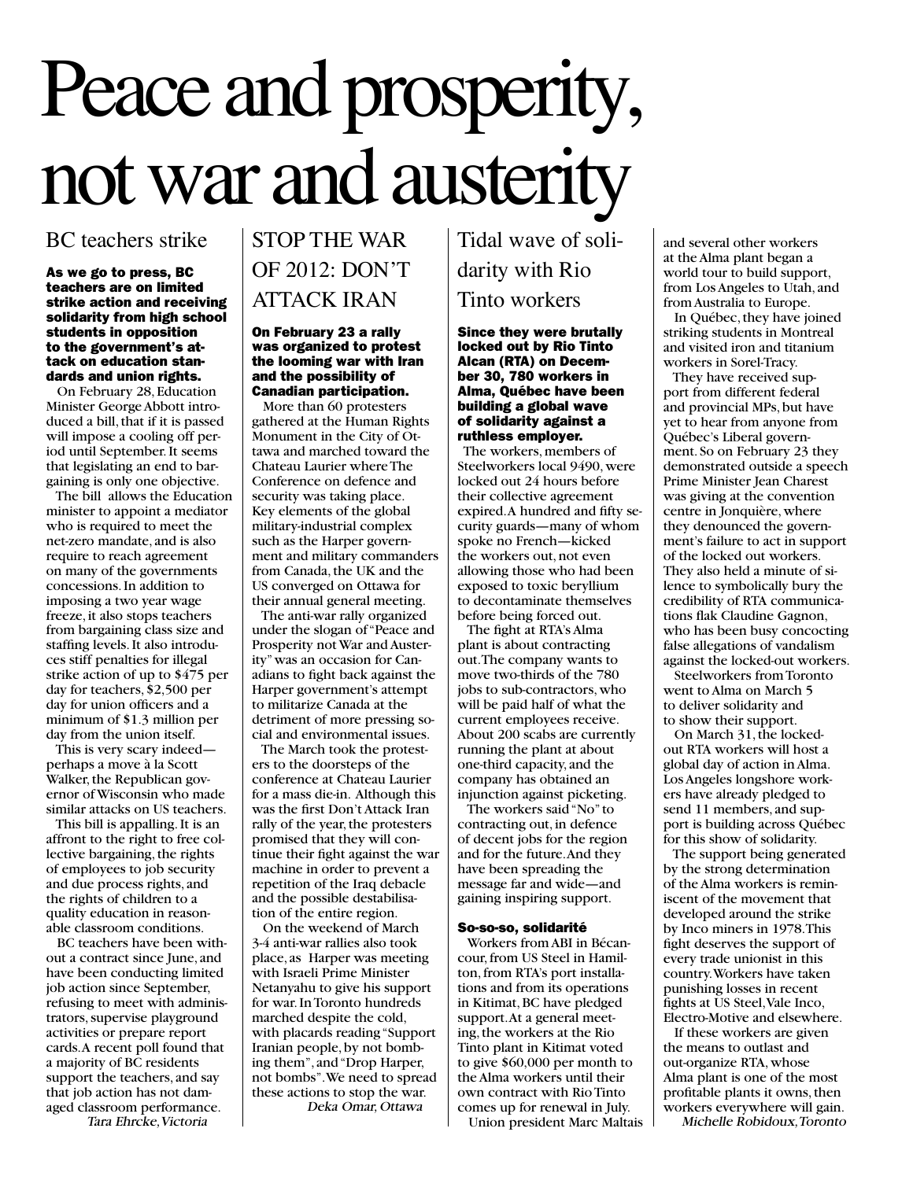# Peace and prosperity, not war and austerity

### BC teachers strike

As we go to press, BC teachers are on limited strike action and receiving solidarity from high school students in opposition to the government's attack on education standards and union rights.

 On February 28, Education Minister George Abbott introduced a bill, that if it is passed will impose a cooling off period until September. It seems that legislating an end to bargaining is only one objective.

 The bill allows the Education minister to appoint a mediator who is required to meet the net-zero mandate, and is also require to reach agreement on many of the governments concessions. In addition to imposing a two year wage freeze, it also stops teachers from bargaining class size and staffing levels. It also introduces stiff penalties for illegal strike action of up to \$475 per day for teachers, \$2,500 per day for union officers and a minimum of \$1.3 million per day from the union itself.

 This is very scary indeed perhaps a move à la Scott Walker, the Republican governor of Wisconsin who made similar attacks on US teachers.

 This bill is appalling. It is an affront to the right to free collective bargaining, the rights of employees to job security and due process rights, and the rights of children to a quality education in reasonable classroom conditions.

 BC teachers have been without a contract since June, and have been conducting limited job action since September, refusing to meet with administrators, supervise playground activities or prepare report cards. A recent poll found that a majority of BC residents support the teachers, and say that job action has not damaged classroom performance.

#### Tara Ehrcke, Victoria

### STOP THE WAR OF 2012: DON'T ATTACK IRAN

#### On February 23 a rally was organized to protest the looming war with Iran and the possibility of Canadian participation.

 More than 60 protesters gathered at the Human Rights Monument in the City of Ottawa and marched toward the Chateau Laurier where The Conference on defence and security was taking place. Key elements of the global military-industrial complex such as the Harper government and military commanders from Canada, the UK and the US converged on Ottawa for their annual general meeting.

 The anti-war rally organized under the slogan of "Peace and Prosperity not War and Austerity" was an occasion for Canadians to fight back against the Harper government's attempt to militarize Canada at the detriment of more pressing social and environmental issues.

 The March took the protesters to the doorsteps of the conference at Chateau Laurier for a mass die-in. Although this was the first Don't Attack Iran rally of the year, the protesters promised that they will continue their fight against the war machine in order to prevent a repetition of the Iraq debacle and the possible destabilisation of the entire region.

 On the weekend of March 3-4 anti-war rallies also took place, as Harper was meeting with Israeli Prime Minister Netanyahu to give his support for war. In Toronto hundreds marched despite the cold, with placards reading "Support Iranian people, by not bombing them", and "Drop Harper, not bombs". We need to spread these actions to stop the war. Deka Omar, Ottawa

Tidal wave of solidarity with Rio Tinto workers

#### Since they were brutally locked out by Rio Tinto Alcan (RTA) on December 30, 780 workers in Alma, Québec have been building a global wave of solidarity against a ruthless employer.

 The workers, members of Steelworkers local 9490, were locked out 24 hours before their collective agreement expired. A hundred and fifty security guards—many of whom spoke no French—kicked the workers out, not even allowing those who had been exposed to toxic beryllium to decontaminate themselves before being forced out.

 The fight at RTA's Alma plant is about contracting out. The company wants to move two-thirds of the 780 jobs to sub-contractors, who will be paid half of what the current employees receive. About 200 scabs are currently running the plant at about one-third capacity, and the company has obtained an injunction against picketing.

 The workers said "No" to contracting out, in defence of decent jobs for the region and for the future. And they have been spreading the message far and wide—and gaining inspiring support.

#### So-so-so, solidarité

 Workers from ABI in Bécancour, from US Steel in Hamilton, from RTA's port installations and from its operations in Kitimat, BC have pledged support. At a general meeting, the workers at the Rio Tinto plant in Kitimat voted to give \$60,000 per month to the Alma workers until their own contract with Rio Tinto comes up for renewal in July.

Union president Marc Maltais

and several other workers at the Alma plant began a world tour to build support, from Los Angeles to Utah, and from Australia to Europe.

 In Québec, they have joined striking students in Montreal and visited iron and titanium workers in Sorel-Tracy.

 They have received support from different federal and provincial MPs, but have yet to hear from anyone from Québec's Liberal government. So on February 23 they demonstrated outside a speech Prime Minister Jean Charest was giving at the convention centre in Jonquière, where they denounced the government's failure to act in support of the locked out workers. They also held a minute of silence to symbolically bury the credibility of RTA communications flak Claudine Gagnon, who has been busy concocting false allegations of vandalism against the locked-out workers.

 Steelworkers from Toronto went to Alma on March 5 to deliver solidarity and to show their support.

 On March 31, the lockedout RTA workers will host a global day of action in Alma. Los Angeles longshore workers have already pledged to send 11 members, and support is building across Québec for this show of solidarity.

 The support being generated by the strong determination of the Alma workers is reminiscent of the movement that developed around the strike by Inco miners in 1978. This fight deserves the support of every trade unionist in this country. Workers have taken punishing losses in recent fights at US Steel, Vale Inco, Electro-Motive and elsewhere.

 If these workers are given the means to outlast and out-organize RTA, whose Alma plant is one of the most profitable plants it owns, then workers everywhere will gain.

Michelle Robidoux, Toronto